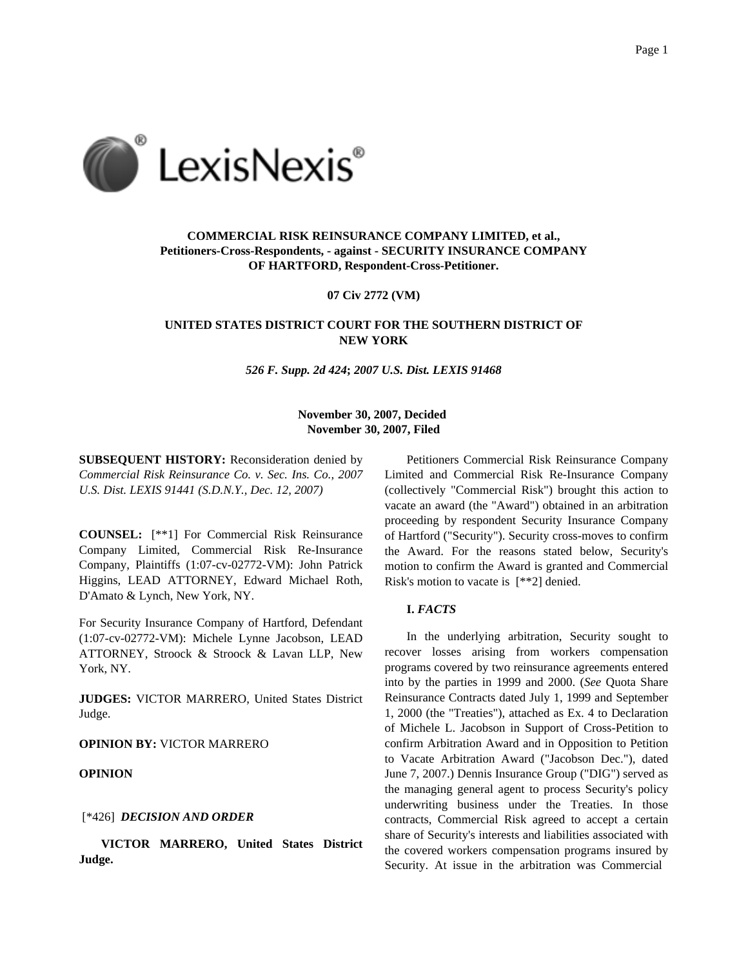

# **COMMERCIAL RISK REINSURANCE COMPANY LIMITED, et al., Petitioners-Cross-Respondents, - against - SECURITY INSURANCE COMPANY OF HARTFORD, Respondent-Cross-Petitioner.**

**07 Civ 2772 (VM)**

## **UNITED STATES DISTRICT COURT FOR THE SOUTHERN DISTRICT OF NEW YORK**

*526 F. Supp. 2d 424***;** *2007 U.S. Dist. LEXIS 91468*

## **November 30, 2007, Decided November 30, 2007, Filed**

**SUBSEQUENT HISTORY:** Reconsideration denied by *Commercial Risk Reinsurance Co. v. Sec. Ins. Co., 2007 U.S. Dist. LEXIS 91441 (S.D.N.Y., Dec. 12, 2007)*

**COUNSEL:** [\*\*1] For Commercial Risk Reinsurance Company Limited, Commercial Risk Re-Insurance Company, Plaintiffs (1:07-cv-02772-VM): John Patrick Higgins, LEAD ATTORNEY, Edward Michael Roth, D'Amato & Lynch, New York, NY.

For Security Insurance Company of Hartford, Defendant (1:07-cv-02772-VM): Michele Lynne Jacobson, LEAD ATTORNEY, Stroock & Stroock & Lavan LLP, New York, NY.

**JUDGES:** VICTOR MARRERO, United States District Judge.

**OPINION BY:** VICTOR MARRERO

### **OPINION**

## [\*426] *DECISION AND ORDER*

**VICTOR MARRERO, United States District Judge.**

Petitioners Commercial Risk Reinsurance Company Limited and Commercial Risk Re-Insurance Company (collectively "Commercial Risk") brought this action to vacate an award (the "Award") obtained in an arbitration proceeding by respondent Security Insurance Company of Hartford ("Security"). Security cross-moves to confirm the Award. For the reasons stated below, Security's motion to confirm the Award is granted and Commercial Risk's motion to vacate is [\*\*2] denied.

### **I.** *FACTS*

In the underlying arbitration, Security sought to recover losses arising from workers compensation programs covered by two reinsurance agreements entered into by the parties in 1999 and 2000. (*See* Quota Share Reinsurance Contracts dated July 1, 1999 and September 1, 2000 (the "Treaties"), attached as Ex. 4 to Declaration of Michele L. Jacobson in Support of Cross-Petition to confirm Arbitration Award and in Opposition to Petition to Vacate Arbitration Award ("Jacobson Dec."), dated June 7, 2007.) Dennis Insurance Group ("DIG") served as the managing general agent to process Security's policy underwriting business under the Treaties. In those contracts, Commercial Risk agreed to accept a certain share of Security's interests and liabilities associated with the covered workers compensation programs insured by Security. At issue in the arbitration was Commercial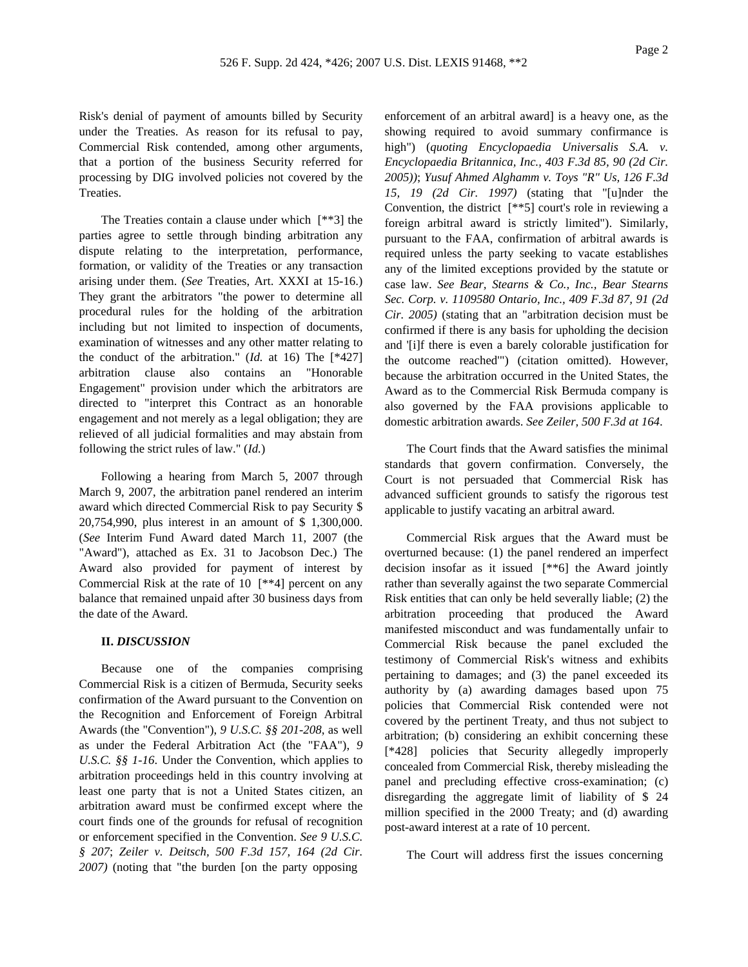Risk's denial of payment of amounts billed by Security under the Treaties. As reason for its refusal to pay, Commercial Risk contended, among other arguments, that a portion of the business Security referred for processing by DIG involved policies not covered by the Treaties.

The Treaties contain a clause under which [\*\*3] the parties agree to settle through binding arbitration any dispute relating to the interpretation, performance, formation, or validity of the Treaties or any transaction arising under them. (*See* Treaties, Art. XXXI at 15-16.) They grant the arbitrators "the power to determine all procedural rules for the holding of the arbitration including but not limited to inspection of documents, examination of witnesses and any other matter relating to the conduct of the arbitration." (*Id.* at 16) The [\*427] arbitration clause also contains an "Honorable Engagement" provision under which the arbitrators are directed to "interpret this Contract as an honorable engagement and not merely as a legal obligation; they are relieved of all judicial formalities and may abstain from following the strict rules of law." (*Id.*)

Following a hearing from March 5, 2007 through March 9, 2007, the arbitration panel rendered an interim award which directed Commercial Risk to pay Security \$ 20,754,990, plus interest in an amount of \$ 1,300,000. (*See* Interim Fund Award dated March 11, 2007 (the "Award"), attached as Ex. 31 to Jacobson Dec.) The Award also provided for payment of interest by Commercial Risk at the rate of 10 [\*\*4] percent on any balance that remained unpaid after 30 business days from the date of the Award.

### **II.** *DISCUSSION*

Because one of the companies comprising Commercial Risk is a citizen of Bermuda, Security seeks confirmation of the Award pursuant to the Convention on the Recognition and Enforcement of Foreign Arbitral Awards (the "Convention"), *9 U.S.C. §§ 201-208*, as well as under the Federal Arbitration Act (the "FAA"), *9 U.S.C. §§ 1-16*. Under the Convention, which applies to arbitration proceedings held in this country involving at least one party that is not a United States citizen, an arbitration award must be confirmed except where the court finds one of the grounds for refusal of recognition or enforcement specified in the Convention. *See 9 U.S.C. § 207*; *Zeiler v. Deitsch, 500 F.3d 157, 164 (2d Cir. 2007)* (noting that "the burden [on the party opposing

enforcement of an arbitral award] is a heavy one, as the showing required to avoid summary confirmance is high") (*quoting Encyclopaedia Universalis S.A. v. Encyclopaedia Britannica, Inc., 403 F.3d 85, 90 (2d Cir. 2005))*; *Yusuf Ahmed Alghamm v. Toys "R" Us, 126 F.3d 15, 19 (2d Cir. 1997)* (stating that "[u]nder the Convention, the district [\*\*5] court's role in reviewing a foreign arbitral award is strictly limited"). Similarly, pursuant to the FAA, confirmation of arbitral awards is required unless the party seeking to vacate establishes any of the limited exceptions provided by the statute or case law. *See Bear, Stearns & Co., Inc., Bear Stearns Sec. Corp. v. 1109580 Ontario, Inc., 409 F.3d 87, 91 (2d Cir. 2005)* (stating that an "arbitration decision must be confirmed if there is any basis for upholding the decision and '[i]f there is even a barely colorable justification for the outcome reached'") (citation omitted). However, because the arbitration occurred in the United States, the Award as to the Commercial Risk Bermuda company is also governed by the FAA provisions applicable to domestic arbitration awards. *See Zeiler, 500 F.3d at 164*.

The Court finds that the Award satisfies the minimal standards that govern confirmation. Conversely, the Court is not persuaded that Commercial Risk has advanced sufficient grounds to satisfy the rigorous test applicable to justify vacating an arbitral award.

Commercial Risk argues that the Award must be overturned because: (1) the panel rendered an imperfect decision insofar as it issued [\*\*6] the Award jointly rather than severally against the two separate Commercial Risk entities that can only be held severally liable; (2) the arbitration proceeding that produced the Award manifested misconduct and was fundamentally unfair to Commercial Risk because the panel excluded the testimony of Commercial Risk's witness and exhibits pertaining to damages; and (3) the panel exceeded its authority by (a) awarding damages based upon 75 policies that Commercial Risk contended were not covered by the pertinent Treaty, and thus not subject to arbitration; (b) considering an exhibit concerning these [\*428] policies that Security allegedly improperly concealed from Commercial Risk, thereby misleading the panel and precluding effective cross-examination; (c) disregarding the aggregate limit of liability of \$ 24 million specified in the 2000 Treaty; and (d) awarding post-award interest at a rate of 10 percent.

The Court will address first the issues concerning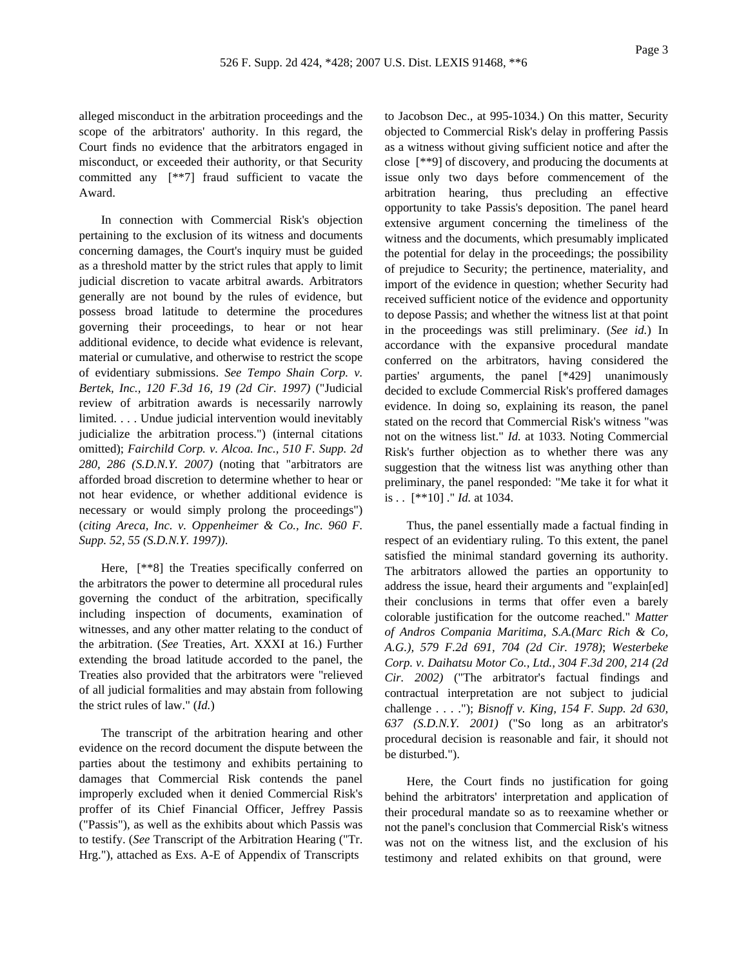alleged misconduct in the arbitration proceedings and the scope of the arbitrators' authority. In this regard, the Court finds no evidence that the arbitrators engaged in misconduct, or exceeded their authority, or that Security committed any [\*\*7] fraud sufficient to vacate the Award.

In connection with Commercial Risk's objection pertaining to the exclusion of its witness and documents concerning damages, the Court's inquiry must be guided as a threshold matter by the strict rules that apply to limit judicial discretion to vacate arbitral awards. Arbitrators generally are not bound by the rules of evidence, but possess broad latitude to determine the procedures governing their proceedings, to hear or not hear additional evidence, to decide what evidence is relevant, material or cumulative, and otherwise to restrict the scope of evidentiary submissions. *See Tempo Shain Corp. v. Bertek, Inc., 120 F.3d 16, 19 (2d Cir. 1997)* ("Judicial review of arbitration awards is necessarily narrowly limited. . . . Undue judicial intervention would inevitably judicialize the arbitration process.") (internal citations omitted); *Fairchild Corp. v. Alcoa. Inc., 510 F. Supp. 2d 280, 286 (S.D.N.Y. 2007)* (noting that "arbitrators are afforded broad discretion to determine whether to hear or not hear evidence, or whether additional evidence is necessary or would simply prolong the proceedings") (*citing Areca, Inc. v. Oppenheimer & Co., Inc. 960 F. Supp. 52, 55 (S.D.N.Y. 1997))*.

Here, [\*\*8] the Treaties specifically conferred on the arbitrators the power to determine all procedural rules governing the conduct of the arbitration, specifically including inspection of documents, examination of witnesses, and any other matter relating to the conduct of the arbitration. (*See* Treaties, Art. XXXI at 16.) Further extending the broad latitude accorded to the panel, the Treaties also provided that the arbitrators were "relieved of all judicial formalities and may abstain from following the strict rules of law." (*Id.*)

The transcript of the arbitration hearing and other evidence on the record document the dispute between the parties about the testimony and exhibits pertaining to damages that Commercial Risk contends the panel improperly excluded when it denied Commercial Risk's proffer of its Chief Financial Officer, Jeffrey Passis ("Passis"), as well as the exhibits about which Passis was to testify. (*See* Transcript of the Arbitration Hearing ("Tr. Hrg."), attached as Exs. A-E of Appendix of Transcripts

to Jacobson Dec., at 995-1034.) On this matter, Security objected to Commercial Risk's delay in proffering Passis as a witness without giving sufficient notice and after the close [\*\*9] of discovery, and producing the documents at issue only two days before commencement of the arbitration hearing, thus precluding an effective opportunity to take Passis's deposition. The panel heard extensive argument concerning the timeliness of the witness and the documents, which presumably implicated the potential for delay in the proceedings; the possibility of prejudice to Security; the pertinence, materiality, and import of the evidence in question; whether Security had received sufficient notice of the evidence and opportunity to depose Passis; and whether the witness list at that point in the proceedings was still preliminary. (*See id.*) In accordance with the expansive procedural mandate conferred on the arbitrators, having considered the parties' arguments, the panel [\*429] unanimously decided to exclude Commercial Risk's proffered damages evidence. In doing so, explaining its reason, the panel stated on the record that Commercial Risk's witness "was not on the witness list." *Id.* at 1033. Noting Commercial Risk's further objection as to whether there was any suggestion that the witness list was anything other than preliminary, the panel responded: "Me take it for what it is . . [\*\*10] ." *Id.* at 1034.

Thus, the panel essentially made a factual finding in respect of an evidentiary ruling. To this extent, the panel satisfied the minimal standard governing its authority. The arbitrators allowed the parties an opportunity to address the issue, heard their arguments and "explain[ed] their conclusions in terms that offer even a barely colorable justification for the outcome reached." *Matter of Andros Compania Maritima, S.A.(Marc Rich & Co, A.G.), 579 F.2d 691, 704 (2d Cir. 1978)*; *Westerbeke Corp. v. Daihatsu Motor Co., Ltd., 304 F.3d 200, 214 (2d Cir. 2002)* ("The arbitrator's factual findings and contractual interpretation are not subject to judicial challenge . . . ."); *Bisnoff v. King, 154 F. Supp. 2d 630, 637 (S.D.N.Y. 2001)* ("So long as an arbitrator's procedural decision is reasonable and fair, it should not be disturbed.").

Here, the Court finds no justification for going behind the arbitrators' interpretation and application of their procedural mandate so as to reexamine whether or not the panel's conclusion that Commercial Risk's witness was not on the witness list, and the exclusion of his testimony and related exhibits on that ground, were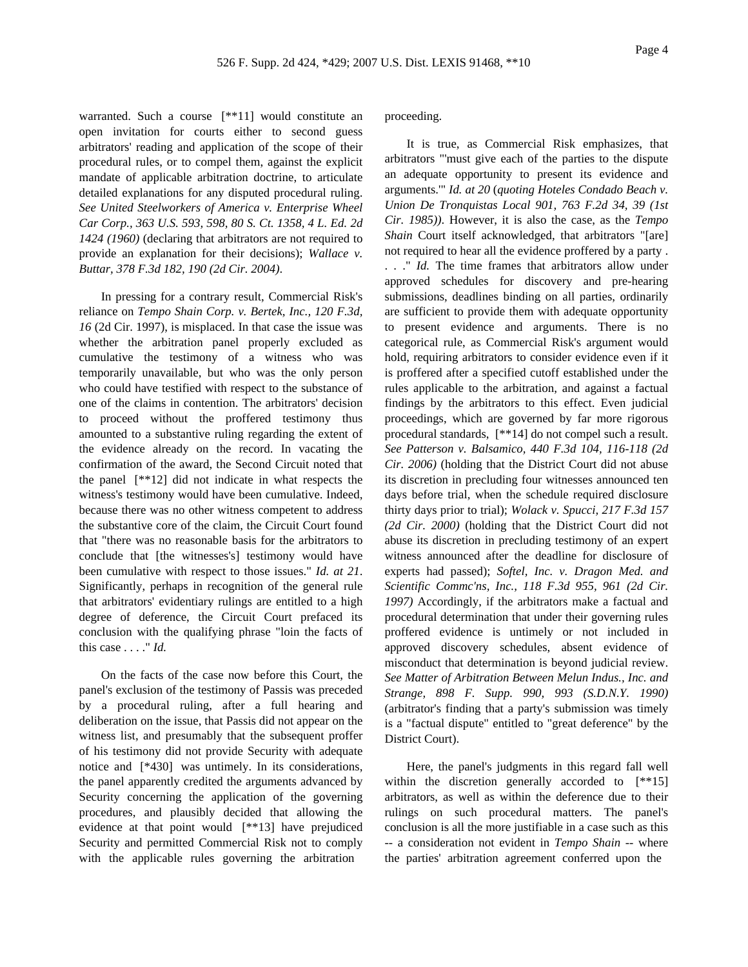warranted. Such a course [\*\*11] would constitute an open invitation for courts either to second guess arbitrators' reading and application of the scope of their procedural rules, or to compel them, against the explicit mandate of applicable arbitration doctrine, to articulate detailed explanations for any disputed procedural ruling. *See United Steelworkers of America v. Enterprise Wheel Car Corp., 363 U.S. 593, 598, 80 S. Ct. 1358, 4 L. Ed. 2d 1424 (1960)* (declaring that arbitrators are not required to provide an explanation for their decisions); *Wallace v. Buttar, 378 F.3d 182, 190 (2d Cir. 2004)*.

In pressing for a contrary result, Commercial Risk's reliance on *Tempo Shain Corp. v. Bertek, Inc., 120 F.3d, 16* (2d Cir. 1997), is misplaced. In that case the issue was whether the arbitration panel properly excluded as cumulative the testimony of a witness who was temporarily unavailable, but who was the only person who could have testified with respect to the substance of one of the claims in contention. The arbitrators' decision to proceed without the proffered testimony thus amounted to a substantive ruling regarding the extent of the evidence already on the record. In vacating the confirmation of the award, the Second Circuit noted that the panel [\*\*12] did not indicate in what respects the witness's testimony would have been cumulative. Indeed, because there was no other witness competent to address the substantive core of the claim, the Circuit Court found that "there was no reasonable basis for the arbitrators to conclude that [the witnesses's] testimony would have been cumulative with respect to those issues." *Id. at 21*. Significantly, perhaps in recognition of the general rule that arbitrators' evidentiary rulings are entitled to a high degree of deference, the Circuit Court prefaced its conclusion with the qualifying phrase "loin the facts of this case . . . ." *Id.*

On the facts of the case now before this Court, the panel's exclusion of the testimony of Passis was preceded by a procedural ruling, after a full hearing and deliberation on the issue, that Passis did not appear on the witness list, and presumably that the subsequent proffer of his testimony did not provide Security with adequate notice and [\*430] was untimely. In its considerations, the panel apparently credited the arguments advanced by Security concerning the application of the governing procedures, and plausibly decided that allowing the evidence at that point would [\*\*13] have prejudiced Security and permitted Commercial Risk not to comply with the applicable rules governing the arbitration

proceeding.

It is true, as Commercial Risk emphasizes, that arbitrators "'must give each of the parties to the dispute an adequate opportunity to present its evidence and arguments.'" *Id. at 20* (*quoting Hoteles Condado Beach v. Union De Tronquistas Local 901, 763 F.2d 34, 39 (1st Cir. 1985))*. However, it is also the case, as the *Tempo Shain* Court itself acknowledged, that arbitrators "[are] not required to hear all the evidence proffered by a party . . . ." *Id.* The time frames that arbitrators allow under approved schedules for discovery and pre-hearing submissions, deadlines binding on all parties, ordinarily are sufficient to provide them with adequate opportunity to present evidence and arguments. There is no categorical rule, as Commercial Risk's argument would hold, requiring arbitrators to consider evidence even if it is proffered after a specified cutoff established under the rules applicable to the arbitration, and against a factual findings by the arbitrators to this effect. Even judicial proceedings, which are governed by far more rigorous procedural standards, [\*\*14] do not compel such a result. *See Patterson v. Balsamico, 440 F.3d 104, 116-118 (2d Cir. 2006)* (holding that the District Court did not abuse its discretion in precluding four witnesses announced ten days before trial, when the schedule required disclosure thirty days prior to trial); *Wolack v. Spucci, 217 F.3d 157 (2d Cir. 2000)* (holding that the District Court did not abuse its discretion in precluding testimony of an expert witness announced after the deadline for disclosure of experts had passed); *Softel, Inc. v. Dragon Med. and Scientific Commc'ns, Inc., 118 F.3d 955, 961 (2d Cir. 1997)* Accordingly, if the arbitrators make a factual and procedural determination that under their governing rules proffered evidence is untimely or not included in approved discovery schedules, absent evidence of misconduct that determination is beyond judicial review. *See Matter of Arbitration Between Melun Indus., Inc. and Strange, 898 F. Supp. 990, 993 (S.D.N.Y. 1990)* (arbitrator's finding that a party's submission was timely is a "factual dispute" entitled to "great deference" by the District Court).

Here, the panel's judgments in this regard fall well within the discretion generally accorded to  $[**15]$ arbitrators, as well as within the deference due to their rulings on such procedural matters. The panel's conclusion is all the more justifiable in a case such as this -- a consideration not evident in *Tempo Shain* -- where the parties' arbitration agreement conferred upon the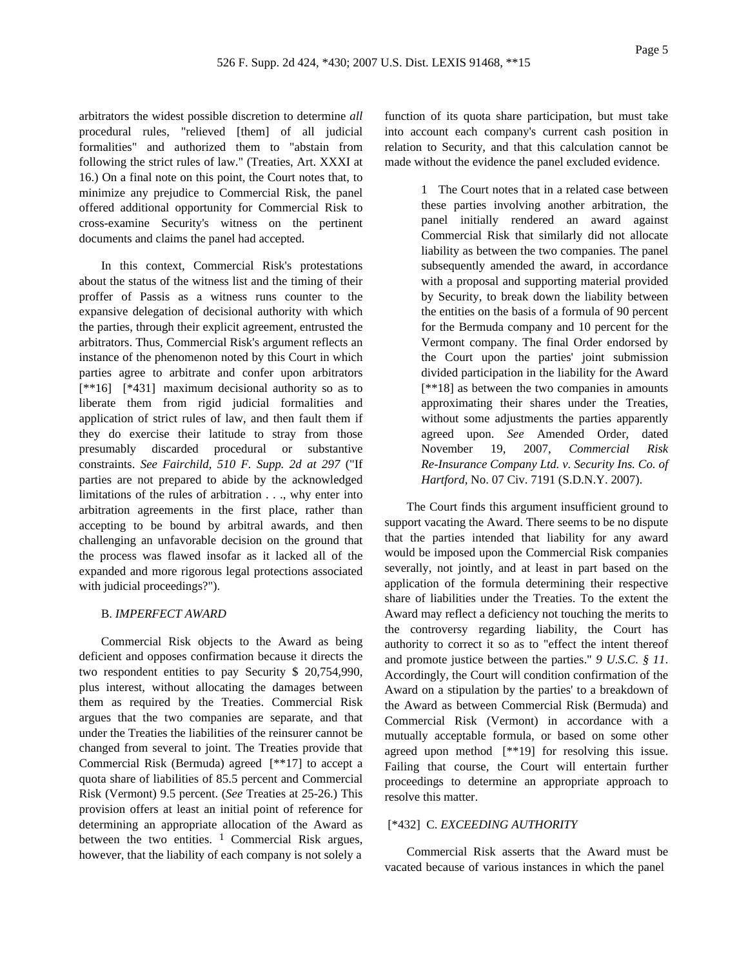arbitrators the widest possible discretion to determine *all* procedural rules, "relieved [them] of all judicial formalities" and authorized them to "abstain from following the strict rules of law." (Treaties, Art. XXXI at 16.) On a final note on this point, the Court notes that, to minimize any prejudice to Commercial Risk, the panel offered additional opportunity for Commercial Risk to cross-examine Security's witness on the pertinent documents and claims the panel had accepted.

In this context, Commercial Risk's protestations about the status of the witness list and the timing of their proffer of Passis as a witness runs counter to the expansive delegation of decisional authority with which the parties, through their explicit agreement, entrusted the arbitrators. Thus, Commercial Risk's argument reflects an instance of the phenomenon noted by this Court in which parties agree to arbitrate and confer upon arbitrators [\*\*16] [\*431] maximum decisional authority so as to liberate them from rigid judicial formalities and application of strict rules of law, and then fault them if they do exercise their latitude to stray from those presumably discarded procedural or substantive constraints. *See Fairchild, 510 F. Supp. 2d at 297* ("If parties are not prepared to abide by the acknowledged limitations of the rules of arbitration . . ., why enter into arbitration agreements in the first place, rather than accepting to be bound by arbitral awards, and then challenging an unfavorable decision on the ground that the process was flawed insofar as it lacked all of the expanded and more rigorous legal protections associated with judicial proceedings?").

# B. *IMPERFECT AWARD*

Commercial Risk objects to the Award as being deficient and opposes confirmation because it directs the two respondent entities to pay Security \$ 20,754,990, plus interest, without allocating the damages between them as required by the Treaties. Commercial Risk argues that the two companies are separate, and that under the Treaties the liabilities of the reinsurer cannot be changed from several to joint. The Treaties provide that Commercial Risk (Bermuda) agreed [\*\*17] to accept a quota share of liabilities of 85.5 percent and Commercial Risk (Vermont) 9.5 percent. (*See* Treaties at 25-26.) This provision offers at least an initial point of reference for determining an appropriate allocation of the Award as between the two entities.  $\frac{1}{1}$  Commercial Risk argues, however, that the liability of each company is not solely a

function of its quota share participation, but must take into account each company's current cash position in relation to Security, and that this calculation cannot be made without the evidence the panel excluded evidence.

> 1 The Court notes that in a related case between these parties involving another arbitration, the panel initially rendered an award against Commercial Risk that similarly did not allocate liability as between the two companies. The panel subsequently amended the award, in accordance with a proposal and supporting material provided by Security, to break down the liability between the entities on the basis of a formula of 90 percent for the Bermuda company and 10 percent for the Vermont company. The final Order endorsed by the Court upon the parties' joint submission divided participation in the liability for the Award [\*\*18] as between the two companies in amounts approximating their shares under the Treaties, without some adjustments the parties apparently agreed upon. *See* Amended Order, dated November 19, 2007, *Commercial Risk Re-Insurance Company Ltd. v. Security Ins. Co. of Hartford,* No. 07 Civ. 7191 (S.D.N.Y. 2007).

The Court finds this argument insufficient ground to support vacating the Award. There seems to be no dispute that the parties intended that liability for any award would be imposed upon the Commercial Risk companies severally, not jointly, and at least in part based on the application of the formula determining their respective share of liabilities under the Treaties. To the extent the Award may reflect a deficiency not touching the merits to the controversy regarding liability, the Court has authority to correct it so as to "effect the intent thereof and promote justice between the parties." *9 U.S.C. § 11*. Accordingly, the Court will condition confirmation of the Award on a stipulation by the parties' to a breakdown of the Award as between Commercial Risk (Bermuda) and Commercial Risk (Vermont) in accordance with a mutually acceptable formula, or based on some other agreed upon method [\*\*19] for resolving this issue. Failing that course, the Court will entertain further proceedings to determine an appropriate approach to resolve this matter.

## [\*432] C. *EXCEEDING AUTHORITY*

Commercial Risk asserts that the Award must be vacated because of various instances in which the panel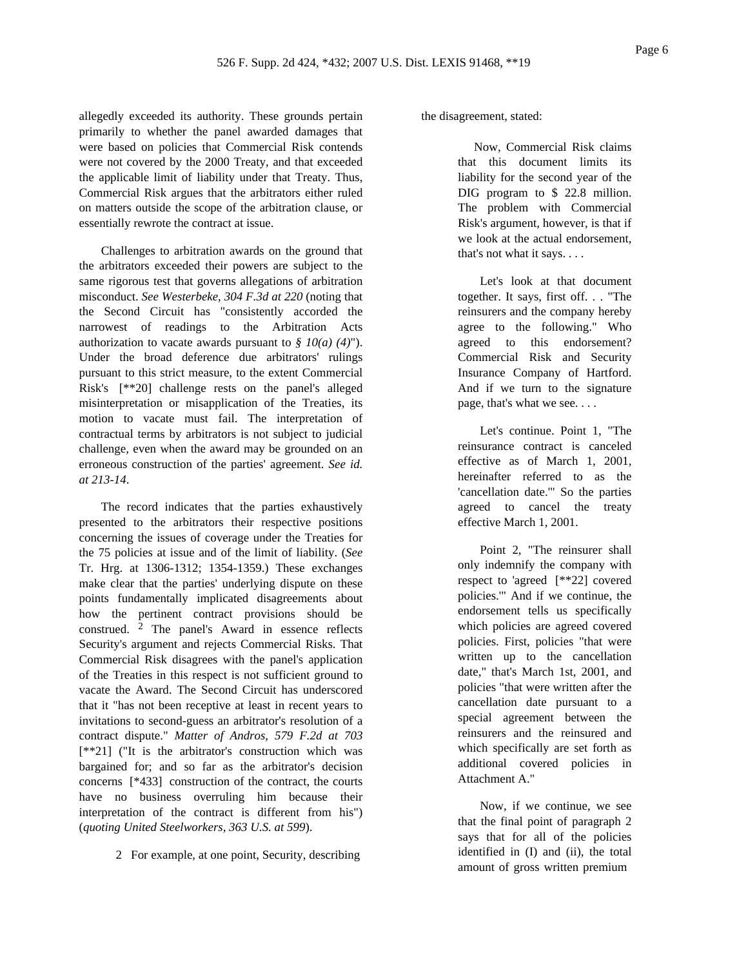allegedly exceeded its authority. These grounds pertain primarily to whether the panel awarded damages that were based on policies that Commercial Risk contends were not covered by the 2000 Treaty, and that exceeded the applicable limit of liability under that Treaty. Thus, Commercial Risk argues that the arbitrators either ruled on matters outside the scope of the arbitration clause, or essentially rewrote the contract at issue.

Challenges to arbitration awards on the ground that the arbitrators exceeded their powers are subject to the same rigorous test that governs allegations of arbitration misconduct. *See Westerbeke, 304 F.3d at 220* (noting that the Second Circuit has "consistently accorded the narrowest of readings to the Arbitration Acts authorization to vacate awards pursuant to *§ 10(a) (4)*"). Under the broad deference due arbitrators' rulings pursuant to this strict measure, to the extent Commercial Risk's [\*\*20] challenge rests on the panel's alleged misinterpretation or misapplication of the Treaties, its motion to vacate must fail. The interpretation of contractual terms by arbitrators is not subject to judicial challenge, even when the award may be grounded on an erroneous construction of the parties' agreement. *See id. at 213-14*.

The record indicates that the parties exhaustively presented to the arbitrators their respective positions concerning the issues of coverage under the Treaties for the 75 policies at issue and of the limit of liability. (*See* Tr. Hrg. at 1306-1312; 1354-1359.) These exchanges make clear that the parties' underlying dispute on these points fundamentally implicated disagreements about how the pertinent contract provisions should be construed. 2 The panel's Award in essence reflects Security's argument and rejects Commercial Risks. That Commercial Risk disagrees with the panel's application of the Treaties in this respect is not sufficient ground to vacate the Award. The Second Circuit has underscored that it "has not been receptive at least in recent years to invitations to second-guess an arbitrator's resolution of a contract dispute." *Matter of Andros, 579 F.2d at 703* [\*\*21] ("It is the arbitrator's construction which was bargained for; and so far as the arbitrator's decision concerns [\*433] construction of the contract, the courts have no business overruling him because their interpretation of the contract is different from his") (*quoting United Steelworkers, 363 U.S. at 599*).

the disagreement, stated:

Now, Commercial Risk claims that this document limits its liability for the second year of the DIG program to \$ 22.8 million. The problem with Commercial Risk's argument, however, is that if we look at the actual endorsement, that's not what it says. . . .

Let's look at that document together. It says, first off. . . "The reinsurers and the company hereby agree to the following." Who agreed to this endorsement? Commercial Risk and Security Insurance Company of Hartford. And if we turn to the signature page, that's what we see. . . .

Let's continue. Point 1, "The reinsurance contract is canceled effective as of March 1, 2001, hereinafter referred to as the 'cancellation date.'" So the parties agreed to cancel the treaty effective March 1, 2001.

Point 2, "The reinsurer shall only indemnify the company with respect to 'agreed [\*\*22] covered policies.'" And if we continue, the endorsement tells us specifically which policies are agreed covered policies. First, policies "that were written up to the cancellation date," that's March 1st, 2001, and policies "that were written after the cancellation date pursuant to a special agreement between the reinsurers and the reinsured and which specifically are set forth as additional covered policies in Attachment A."

Now, if we continue, we see that the final point of paragraph 2 says that for all of the policies identified in (I) and (ii), the total amount of gross written premium

<sup>2</sup> For example, at one point, Security, describing